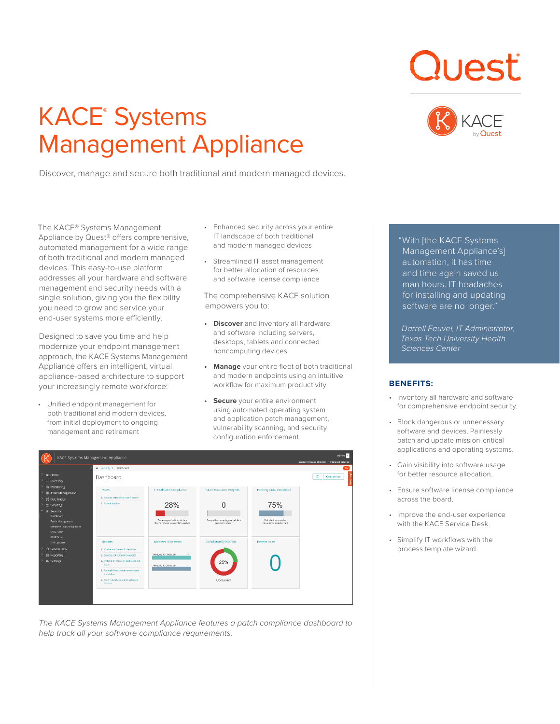# KACE® Systems Management Appliance

Discover, manage and secure both traditional and modern managed devices.

**Quest** 



The KACE® Systems Management Appliance by Quest® offers comprehensive, automated management for a wide range of both traditional and modern managed devices. This easy-to-use platform addresses all your hardware and software management and security needs with a single solution, giving you the flexibility you need to grow and service your end-user systems more efficiently.

Designed to save you time and help modernize your endpoint management approach, the KACE Systems Management Appliance offers an intelligent, virtual appliance-based architecture to support your increasingly remote workforce:

• Unified endpoint management for both traditional and modern devices, from initial deployment to ongoing management and retirement

- Enhanced security across your entire IT landscape of both traditional and modern managed devices
- Streamlined IT asset management for better allocation of resources and software license compliance

The comprehensive KACE solution empowers you to:

- *Discover* and inventory all hardware and software including servers, desktops, tablets and connected noncomputing devices.
- **• Manage** your entire fleet of both traditional and modern endpoints using an intuitive workflow for maximum productivity.
- **Secure** your entire environment using automated operating system and application patch management, vulnerability scanning, and security configuration enforcement.

|                                                                       | KACE Systems Management Appliance                                                       |                                                                       |                                                        |                                                     | admin v<br>Session Timeout: 00:59:08 · 10/23/2020 08:24:09 |
|-----------------------------------------------------------------------|-----------------------------------------------------------------------------------------|-----------------------------------------------------------------------|--------------------------------------------------------|-----------------------------------------------------|------------------------------------------------------------|
|                                                                       | A Security > Dashboard                                                                  |                                                                       |                                                        |                                                     | $\alpha$                                                   |
| <b>C</b> Home<br>Inventory                                            | Dashboard                                                                               |                                                                       |                                                        |                                                     | ٩<br>Customize                                             |
| <b>E</b> Monitoring<br><b>III</b> Asset Management<br>E Distribution  | <b>Views</b><br>1. Patches Released in Last 1 Month                                     | <b>Critical Patch Compliance</b>                                      | <b>Patch Installation Progress</b>                     | <b>Patching Tasks Completed</b>                     |                                                            |
| $E$ Scripting<br><b>&amp; Security</b><br>Dashboard                   | 2. Critical Patches                                                                     | 28%                                                                   |                                                        | 75%                                                 |                                                            |
| Patch Management<br>Windows Feature Updates<br>OVAL Scan<br>SCAP Scan |                                                                                         | Percentage of critical patches<br>that have been successfully applied | Completion percentage of patches<br>enabled to deploy. | Patch tasks completed<br>(since last scheduled run) |                                                            |
| Dell Updates<br>Service Desk                                          | Reports<br>1. Critical and Recent Bulletin List.                                        | Windows 10 Releases                                                   | Compliance By Machine                                  | <b>Patches Failed</b>                               |                                                            |
| <b>E</b> Reporting                                                    | 2. Devices not compliant by patch                                                       | Windows 10 (1933) x64<br>$\mathbf{z}$                                 |                                                        |                                                     |                                                            |
| <sup>6</sup> Settings                                                 | 3. Installation Status of each enabled<br>Patch<br>4. For each Patch, what devices have | Windows 10 (2004) x64<br>$\overline{z}$                               | 25%                                                    |                                                     |                                                            |
|                                                                       | it installed<br>5. Patch Schedules and its Selected<br><b>Distance</b>                  |                                                                       | Compliant                                              |                                                     |                                                            |
|                                                                       |                                                                                         |                                                                       |                                                        |                                                     |                                                            |

*The KACE Systems Management Appliance features a patch compliance dashboard to help track all your software compliance requirements.*

"With [the KACE Systems Management Appliance's] automation, it has time and time again saved us man hours. IT headaches for installing and updating software are no longer."

*Darrell Fauvel, IT Administrator, Texas Tech University Health Sciences Center*

### **BENEFITS:**

- Inventory all hardware and software for comprehensive endpoint security.
- Block dangerous or unnecessary software and devices. Painlessly patch and update mission-critical applications and operating systems.
- Gain visibility into software usage for better resource allocation.
- Ensure software license compliance across the board.
- Improve the end-user experience with the KACE Service Desk.
- Simplify IT workflows with the process template wizard.